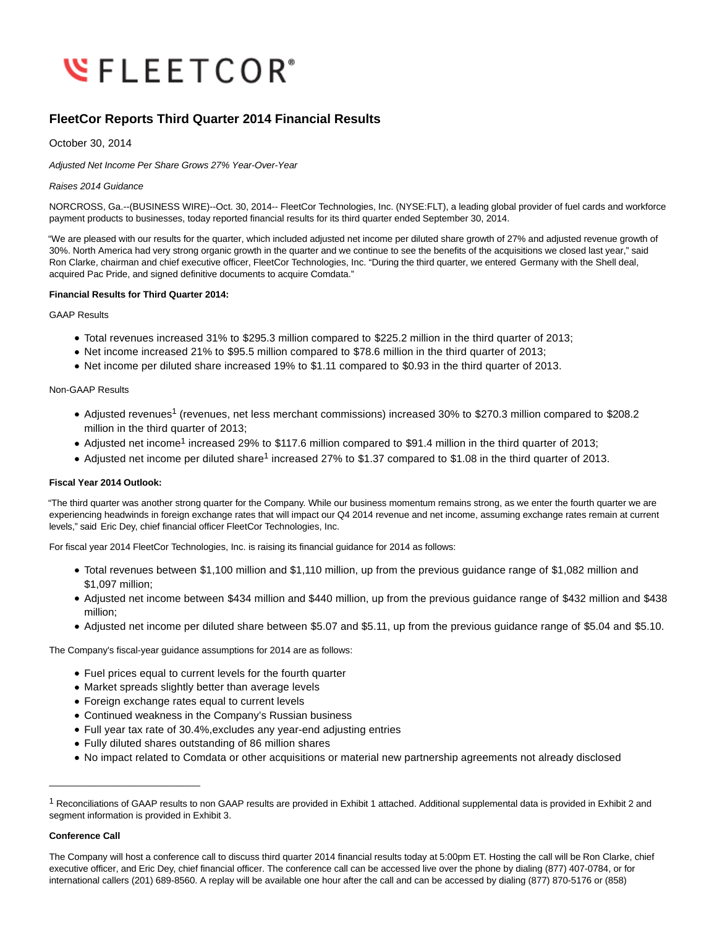# **WFLEETCOR**<sup>\*</sup>

# **FleetCor Reports Third Quarter 2014 Financial Results**

### October 30, 2014

Adjusted Net Income Per Share Grows 27% Year-Over-Year

#### Raises 2014 Guidance

NORCROSS, Ga.--(BUSINESS WIRE)--Oct. 30, 2014-- FleetCor Technologies, Inc. (NYSE:FLT), a leading global provider of fuel cards and workforce payment products to businesses, today reported financial results for its third quarter ended September 30, 2014.

"We are pleased with our results for the quarter, which included adjusted net income per diluted share growth of 27% and adjusted revenue growth of 30%. North America had very strong organic growth in the quarter and we continue to see the benefits of the acquisitions we closed last year," said Ron Clarke, chairman and chief executive officer, FleetCor Technologies, Inc. "During the third quarter, we entered Germany with the Shell deal, acquired Pac Pride, and signed definitive documents to acquire Comdata."

#### **Financial Results for Third Quarter 2014:**

#### GAAP Results

- Total revenues increased 31% to \$295.3 million compared to \$225.2 million in the third quarter of 2013;
- Net income increased 21% to \$95.5 million compared to \$78.6 million in the third quarter of 2013;
- Net income per diluted share increased 19% to \$1.11 compared to \$0.93 in the third quarter of 2013.

#### Non-GAAP Results

- Adjusted revenues<sup>1</sup> (revenues, net less merchant commissions) increased 30% to \$270.3 million compared to \$208.2 million in the third quarter of 2013;
- Adjusted net income<sup>1</sup> increased 29% to \$117.6 million compared to \$91.4 million in the third quarter of 2013;
- Adjusted net income per diluted share<sup>1</sup> increased 27% to \$1.37 compared to \$1.08 in the third quarter of 2013.

#### **Fiscal Year 2014 Outlook:**

"The third quarter was another strong quarter for the Company. While our business momentum remains strong, as we enter the fourth quarter we are experiencing headwinds in foreign exchange rates that will impact our Q4 2014 revenue and net income, assuming exchange rates remain at current levels," said Eric Dey, chief financial officer FleetCor Technologies, Inc.

For fiscal year 2014 FleetCor Technologies, Inc. is raising its financial guidance for 2014 as follows:

- Total revenues between \$1,100 million and \$1,110 million, up from the previous guidance range of \$1,082 million and \$1,097 million;
- Adjusted net income between \$434 million and \$440 million, up from the previous guidance range of \$432 million and \$438 million;
- Adjusted net income per diluted share between \$5.07 and \$5.11, up from the previous guidance range of \$5.04 and \$5.10.

The Company's fiscal-year guidance assumptions for 2014 are as follows:

- Fuel prices equal to current levels for the fourth quarter
- Market spreads slightly better than average levels
- Foreign exchange rates equal to current levels
- Continued weakness in the Company's Russian business
- Full year tax rate of 30.4%,excludes any year-end adjusting entries
- Fully diluted shares outstanding of 86 million shares
- No impact related to Comdata or other acquisitions or material new partnership agreements not already disclosed

#### **Conference Call**

\_\_\_\_\_\_\_\_\_\_\_\_\_\_\_\_\_\_\_\_\_\_\_\_\_\_\_\_\_

<sup>1</sup> Reconciliations of GAAP results to non GAAP results are provided in Exhibit 1 attached. Additional supplemental data is provided in Exhibit 2 and segment information is provided in Exhibit 3.

The Company will host a conference call to discuss third quarter 2014 financial results today at 5:00pm ET. Hosting the call will be Ron Clarke, chief executive officer, and Eric Dey, chief financial officer. The conference call can be accessed live over the phone by dialing (877) 407-0784, or for international callers (201) 689-8560. A replay will be available one hour after the call and can be accessed by dialing (877) 870-5176 or (858)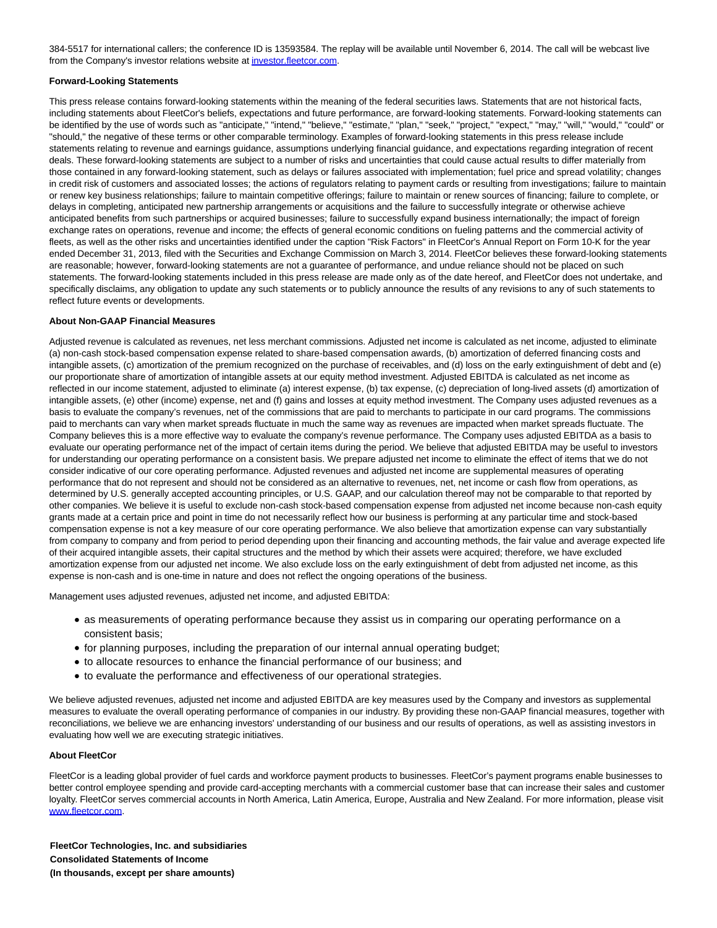384-5517 for international callers; the conference ID is 13593584. The replay will be available until November 6, 2014. The call will be webcast live from the Company's investor relations website at [investor.fleetcor.com.](http://cts.businesswire.com/ct/CT?id=smartlink&url=http%3A%2F%2Finvestor.fleetcor.com&esheet=50973356&newsitemid=20141030006530&lan=en-US&anchor=investor.fleetcor.com&index=1&md5=d77cf4b383fe22f9d710a7c98bbccfa2)

#### **Forward-Looking Statements**

This press release contains forward-looking statements within the meaning of the federal securities laws. Statements that are not historical facts, including statements about FleetCor's beliefs, expectations and future performance, are forward-looking statements. Forward-looking statements can be identified by the use of words such as "anticipate," "intend," "believe," "estimate," "plan," "seek," "project," "expect," "may," "will," "would," "could" or "should," the negative of these terms or other comparable terminology. Examples of forward-looking statements in this press release include statements relating to revenue and earnings guidance, assumptions underlying financial guidance, and expectations regarding integration of recent deals. These forward-looking statements are subject to a number of risks and uncertainties that could cause actual results to differ materially from those contained in any forward-looking statement, such as delays or failures associated with implementation; fuel price and spread volatility; changes in credit risk of customers and associated losses; the actions of regulators relating to payment cards or resulting from investigations; failure to maintain or renew key business relationships; failure to maintain competitive offerings; failure to maintain or renew sources of financing; failure to complete, or delays in completing, anticipated new partnership arrangements or acquisitions and the failure to successfully integrate or otherwise achieve anticipated benefits from such partnerships or acquired businesses; failure to successfully expand business internationally; the impact of foreign exchange rates on operations, revenue and income; the effects of general economic conditions on fueling patterns and the commercial activity of fleets, as well as the other risks and uncertainties identified under the caption "Risk Factors" in FleetCor's Annual Report on Form 10-K for the year ended December 31, 2013, filed with the Securities and Exchange Commission on March 3, 2014. FleetCor believes these forward-looking statements are reasonable; however, forward-looking statements are not a guarantee of performance, and undue reliance should not be placed on such statements. The forward-looking statements included in this press release are made only as of the date hereof, and FleetCor does not undertake, and specifically disclaims, any obligation to update any such statements or to publicly announce the results of any revisions to any of such statements to reflect future events or developments.

#### **About Non-GAAP Financial Measures**

Adjusted revenue is calculated as revenues, net less merchant commissions. Adjusted net income is calculated as net income, adjusted to eliminate (a) non-cash stock-based compensation expense related to share-based compensation awards, (b) amortization of deferred financing costs and intangible assets, (c) amortization of the premium recognized on the purchase of receivables, and (d) loss on the early extinguishment of debt and (e) our proportionate share of amortization of intangible assets at our equity method investment. Adjusted EBITDA is calculated as net income as reflected in our income statement, adjusted to eliminate (a) interest expense, (b) tax expense, (c) depreciation of long-lived assets (d) amortization of intangible assets, (e) other (income) expense, net and (f) gains and losses at equity method investment. The Company uses adjusted revenues as a basis to evaluate the company's revenues, net of the commissions that are paid to merchants to participate in our card programs. The commissions paid to merchants can vary when market spreads fluctuate in much the same way as revenues are impacted when market spreads fluctuate. The Company believes this is a more effective way to evaluate the company's revenue performance. The Company uses adjusted EBITDA as a basis to evaluate our operating performance net of the impact of certain items during the period. We believe that adjusted EBITDA may be useful to investors for understanding our operating performance on a consistent basis. We prepare adjusted net income to eliminate the effect of items that we do not consider indicative of our core operating performance. Adjusted revenues and adjusted net income are supplemental measures of operating performance that do not represent and should not be considered as an alternative to revenues, net, net income or cash flow from operations, as determined by U.S. generally accepted accounting principles, or U.S. GAAP, and our calculation thereof may not be comparable to that reported by other companies. We believe it is useful to exclude non-cash stock-based compensation expense from adjusted net income because non-cash equity grants made at a certain price and point in time do not necessarily reflect how our business is performing at any particular time and stock-based compensation expense is not a key measure of our core operating performance. We also believe that amortization expense can vary substantially from company to company and from period to period depending upon their financing and accounting methods, the fair value and average expected life of their acquired intangible assets, their capital structures and the method by which their assets were acquired; therefore, we have excluded amortization expense from our adjusted net income. We also exclude loss on the early extinguishment of debt from adjusted net income, as this expense is non-cash and is one-time in nature and does not reflect the ongoing operations of the business.

Management uses adjusted revenues, adjusted net income, and adjusted EBITDA:

- as measurements of operating performance because they assist us in comparing our operating performance on a consistent basis;
- for planning purposes, including the preparation of our internal annual operating budget;
- to allocate resources to enhance the financial performance of our business; and
- to evaluate the performance and effectiveness of our operational strategies.

We believe adjusted revenues, adjusted net income and adjusted EBITDA are key measures used by the Company and investors as supplemental measures to evaluate the overall operating performance of companies in our industry. By providing these non-GAAP financial measures, together with reconciliations, we believe we are enhancing investors' understanding of our business and our results of operations, as well as assisting investors in evaluating how well we are executing strategic initiatives.

#### **About FleetCor**

FleetCor is a leading global provider of fuel cards and workforce payment products to businesses. FleetCor's payment programs enable businesses to better control employee spending and provide card-accepting merchants with a commercial customer base that can increase their sales and customer loyalty. FleetCor serves commercial accounts in North America, Latin America, Europe, Australia and New Zealand. For more information, please visit [www.fleetcor.com.](http://cts.businesswire.com/ct/CT?id=smartlink&url=http%3A%2F%2Fwww.fleetcor.com&esheet=50973356&newsitemid=20141030006530&lan=en-US&anchor=www.fleetcor.com&index=2&md5=059e0d04641c7afa5098957f1f7045ae)

**FleetCor Technologies, Inc. and subsidiaries Consolidated Statements of Income (In thousands, except per share amounts)**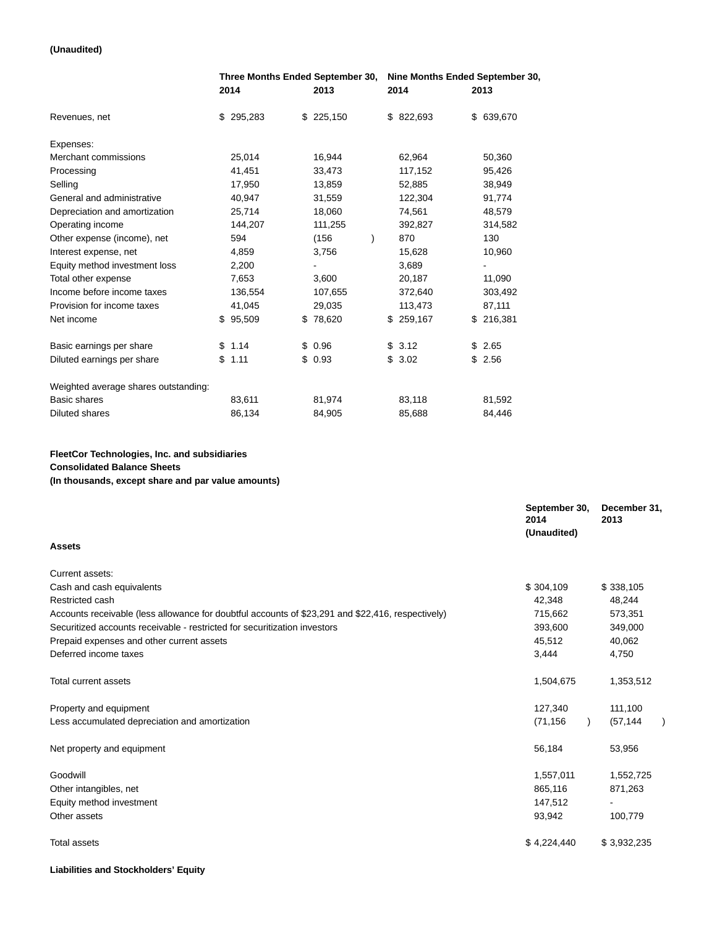#### **(Unaudited)**

|                                      | Three Months Ended September 30,<br>2014<br>2013 |          |    |          |  |  | Nine Months Ended September 30,<br>2014 | 2013 |           |  |
|--------------------------------------|--------------------------------------------------|----------|----|----------|--|--|-----------------------------------------|------|-----------|--|
| Revenues, net                        | \$                                               | 295,283  | \$ | 225,150  |  |  | \$822,693                               | \$   | 639,670   |  |
| Expenses:                            |                                                  |          |    |          |  |  |                                         |      |           |  |
| Merchant commissions                 |                                                  | 25,014   |    | 16,944   |  |  | 62,964                                  |      | 50,360    |  |
| Processing                           |                                                  | 41,451   |    | 33,473   |  |  | 117,152                                 |      | 95,426    |  |
| Selling                              |                                                  | 17,950   |    | 13,859   |  |  | 52,885                                  |      | 38,949    |  |
| General and administrative           |                                                  | 40,947   |    | 31,559   |  |  | 122,304                                 |      | 91,774    |  |
| Depreciation and amortization        |                                                  | 25,714   |    | 18,060   |  |  | 74,561                                  |      | 48,579    |  |
| Operating income                     |                                                  | 144,207  |    | 111,255  |  |  | 392,827                                 |      | 314,582   |  |
| Other expense (income), net          |                                                  | 594      |    | (156)    |  |  | 870                                     |      | 130       |  |
| Interest expense, net                |                                                  | 4,859    |    | 3,756    |  |  | 15,628                                  |      | 10,960    |  |
| Equity method investment loss        |                                                  | 2,200    |    |          |  |  | 3,689                                   |      | ۰         |  |
| Total other expense                  |                                                  | 7,653    |    | 3,600    |  |  | 20,187                                  |      | 11,090    |  |
| Income before income taxes           |                                                  | 136,554  |    | 107,655  |  |  | 372,640                                 |      | 303,492   |  |
| Provision for income taxes           |                                                  | 41,045   |    | 29,035   |  |  | 113,473                                 |      | 87,111    |  |
| Net income                           |                                                  | \$95,509 |    | \$78,620 |  |  | \$259,167                               |      | \$216,381 |  |
| Basic earnings per share             |                                                  | \$1.14   |    | \$0.96   |  |  | \$3.12                                  | \$   | 2.65      |  |
| Diluted earnings per share           | \$                                               | 1.11     |    | \$0.93   |  |  | \$3.02                                  | \$   | 2.56      |  |
| Weighted average shares outstanding: |                                                  |          |    |          |  |  |                                         |      |           |  |
| <b>Basic shares</b>                  |                                                  | 83,611   |    | 81,974   |  |  | 83,118                                  |      | 81,592    |  |
| Diluted shares                       |                                                  | 86,134   |    | 84,905   |  |  | 85,688                                  |      | 84,446    |  |

## **FleetCor Technologies, Inc. and subsidiaries Consolidated Balance Sheets**

**(In thousands, except share and par value amounts)**

|                                                                                                   | September 30,<br>2014<br>(Unaudited) | December 31,<br>2013 |
|---------------------------------------------------------------------------------------------------|--------------------------------------|----------------------|
| <b>Assets</b>                                                                                     |                                      |                      |
| Current assets:                                                                                   |                                      |                      |
| Cash and cash equivalents                                                                         | \$304,109                            | \$338,105            |
| Restricted cash                                                                                   | 42,348                               | 48,244               |
| Accounts receivable (less allowance for doubtful accounts of \$23,291 and \$22,416, respectively) | 715,662                              | 573,351              |
| Securitized accounts receivable - restricted for securitization investors                         | 393,600                              | 349,000              |
| Prepaid expenses and other current assets                                                         | 45,512                               | 40,062               |
| Deferred income taxes                                                                             | 3,444                                | 4,750                |
| Total current assets                                                                              | 1,504,675                            | 1,353,512            |
| Property and equipment                                                                            | 127,340                              | 111,100              |
| Less accumulated depreciation and amortization                                                    | (71, 156)                            | (57, 144)            |
| Net property and equipment                                                                        | 56,184                               | 53,956               |
| Goodwill                                                                                          | 1,557,011                            | 1,552,725            |
| Other intangibles, net                                                                            | 865,116                              | 871,263              |
| Equity method investment                                                                          | 147,512                              |                      |
| Other assets                                                                                      | 93,942                               | 100,779              |
| <b>Total assets</b>                                                                               | \$4,224,440                          | \$3,932,235          |

**Liabilities and Stockholders' Equity**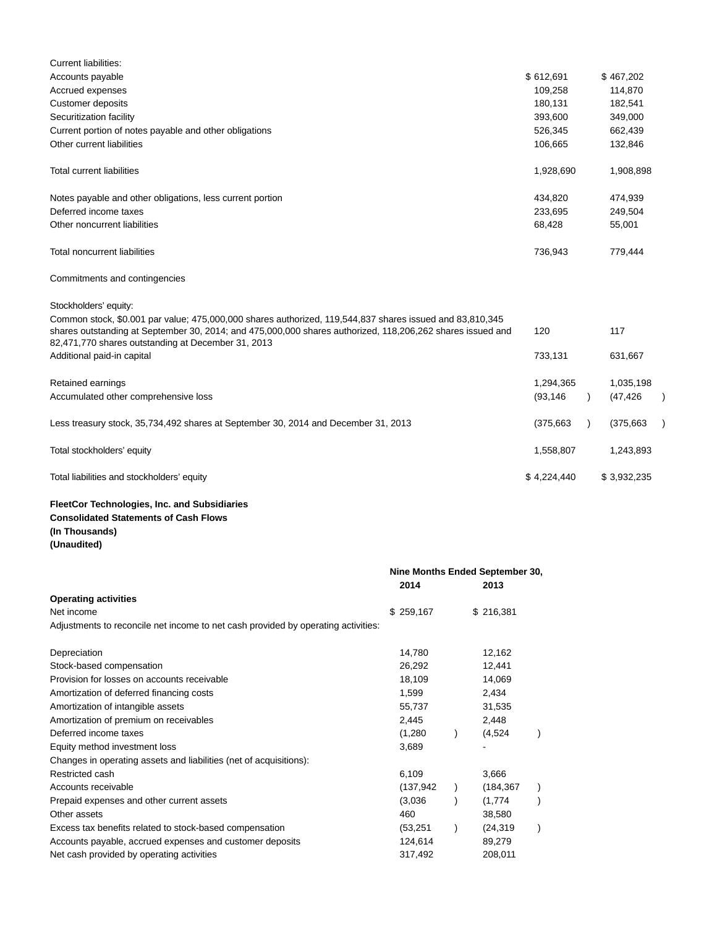| Current liabilities:                                                                                                                                                                                                                                                         |             |           |             |  |
|------------------------------------------------------------------------------------------------------------------------------------------------------------------------------------------------------------------------------------------------------------------------------|-------------|-----------|-------------|--|
| Accounts payable                                                                                                                                                                                                                                                             | \$612,691   |           | \$467,202   |  |
| Accrued expenses                                                                                                                                                                                                                                                             | 109,258     |           | 114,870     |  |
| <b>Customer deposits</b>                                                                                                                                                                                                                                                     | 180,131     |           | 182,541     |  |
| Securitization facility                                                                                                                                                                                                                                                      | 393,600     |           | 349,000     |  |
| Current portion of notes payable and other obligations                                                                                                                                                                                                                       | 526,345     |           | 662,439     |  |
| Other current liabilities                                                                                                                                                                                                                                                    | 106,665     |           | 132,846     |  |
| <b>Total current liabilities</b>                                                                                                                                                                                                                                             | 1,928,690   |           | 1,908,898   |  |
| Notes payable and other obligations, less current portion                                                                                                                                                                                                                    | 434,820     |           | 474,939     |  |
| Deferred income taxes                                                                                                                                                                                                                                                        | 233,695     |           | 249,504     |  |
| Other noncurrent liabilities                                                                                                                                                                                                                                                 | 68,428      |           | 55,001      |  |
| Total noncurrent liabilities                                                                                                                                                                                                                                                 | 736,943     |           | 779,444     |  |
| Commitments and contingencies                                                                                                                                                                                                                                                |             |           |             |  |
| Stockholders' equity:                                                                                                                                                                                                                                                        |             |           |             |  |
| Common stock, \$0.001 par value; 475,000,000 shares authorized, 119,544,837 shares issued and 83,810,345<br>shares outstanding at September 30, 2014; and 475,000,000 shares authorized, 118,206,262 shares issued and<br>82,471,770 shares outstanding at December 31, 2013 | 120         |           | 117         |  |
| Additional paid-in capital                                                                                                                                                                                                                                                   | 733,131     |           | 631,667     |  |
| Retained earnings                                                                                                                                                                                                                                                            | 1,294,365   |           | 1,035,198   |  |
| Accumulated other comprehensive loss                                                                                                                                                                                                                                         | (93, 146)   |           | (47, 426)   |  |
| Less treasury stock, 35,734,492 shares at September 30, 2014 and December 31, 2013                                                                                                                                                                                           | (375, 663)  | $\lambda$ | (375, 663)  |  |
| Total stockholders' equity                                                                                                                                                                                                                                                   | 1,558,807   |           | 1,243,893   |  |
| Total liabilities and stockholders' equity                                                                                                                                                                                                                                   | \$4,224,440 |           | \$3,932,235 |  |
| FleetCor Technologies, Inc. and Subsidiaries                                                                                                                                                                                                                                 |             |           |             |  |
| <b>Consolidated Statements of Cash Flows</b>                                                                                                                                                                                                                                 |             |           |             |  |

**(In Thousands) (Unaudited)**

|                                                                                   | Nine Months Ended September 30,<br>2014 | 2013       |  |
|-----------------------------------------------------------------------------------|-----------------------------------------|------------|--|
| <b>Operating activities</b>                                                       |                                         |            |  |
| Net income                                                                        | \$259,167                               | \$216,381  |  |
| Adjustments to reconcile net income to net cash provided by operating activities: |                                         |            |  |
| Depreciation                                                                      | 14,780                                  | 12,162     |  |
| Stock-based compensation                                                          | 26,292                                  | 12,441     |  |
| Provision for losses on accounts receivable                                       | 18,109                                  | 14,069     |  |
| Amortization of deferred financing costs                                          | 1,599                                   | 2,434      |  |
| Amortization of intangible assets                                                 | 55,737                                  | 31,535     |  |
| Amortization of premium on receivables                                            | 2,445                                   | 2,448      |  |
| Deferred income taxes                                                             | (1,280)                                 | (4,524)    |  |
| Equity method investment loss                                                     | 3,689                                   |            |  |
| Changes in operating assets and liabilities (net of acquisitions):                |                                         |            |  |
| Restricted cash                                                                   | 6,109                                   | 3,666      |  |
| Accounts receivable                                                               | (137, 942)                              | (184, 367) |  |
| Prepaid expenses and other current assets                                         | (3,036)                                 | (1,774)    |  |
| Other assets                                                                      | 460                                     | 38,580     |  |
| Excess tax benefits related to stock-based compensation                           | (53, 251)                               | (24, 319)  |  |
| Accounts payable, accrued expenses and customer deposits                          | 124,614                                 | 89,279     |  |
| Net cash provided by operating activities                                         | 317,492                                 | 208,011    |  |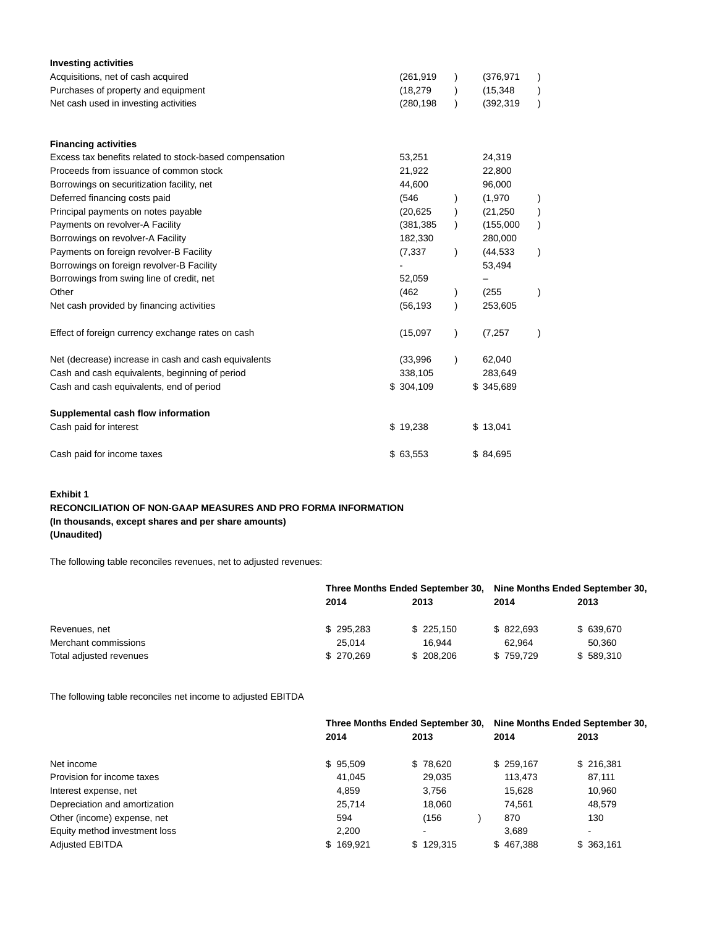| Acquisitions, net of cash acquired<br>Purchases of property and equipment<br>Net cash used in investing activities<br><b>Financing activities</b> | (261, 919)<br>(18, 279)<br>(280, 198)<br>53,251 | (376, 971)<br>(15, 348)<br>(392, 319) |           |
|---------------------------------------------------------------------------------------------------------------------------------------------------|-------------------------------------------------|---------------------------------------|-----------|
|                                                                                                                                                   |                                                 |                                       |           |
|                                                                                                                                                   |                                                 |                                       |           |
|                                                                                                                                                   |                                                 |                                       |           |
|                                                                                                                                                   |                                                 |                                       |           |
| Excess tax benefits related to stock-based compensation                                                                                           |                                                 | 24,319                                |           |
| Proceeds from issuance of common stock                                                                                                            | 21,922                                          | 22,800                                |           |
| Borrowings on securitization facility, net                                                                                                        | 44,600                                          | 96,000                                |           |
| Deferred financing costs paid                                                                                                                     | (546)                                           | (1,970)                               |           |
| Principal payments on notes payable                                                                                                               | (20, 625)                                       | (21, 250)                             |           |
| Payments on revolver-A Facility                                                                                                                   | (381, 385)                                      | (155,000)                             | $\lambda$ |
| Borrowings on revolver-A Facility                                                                                                                 | 182,330                                         | 280,000                               |           |
| Payments on foreign revolver-B Facility                                                                                                           | (7, 337)                                        | (44, 533)                             | $\lambda$ |
| Borrowings on foreign revolver-B Facility                                                                                                         |                                                 | 53,494                                |           |
| Borrowings from swing line of credit, net                                                                                                         | 52,059                                          |                                       |           |
| Other                                                                                                                                             | (462)                                           | (255)                                 | $\lambda$ |
| Net cash provided by financing activities                                                                                                         | (56, 193)                                       | 253,605                               |           |
| Effect of foreign currency exchange rates on cash                                                                                                 | (15,097)                                        | (7, 257)                              |           |
| Net (decrease) increase in cash and cash equivalents                                                                                              | (33,996)                                        | 62,040                                |           |
| Cash and cash equivalents, beginning of period                                                                                                    | 338,105                                         | 283,649                               |           |
| Cash and cash equivalents, end of period                                                                                                          | \$304,109                                       | \$345,689                             |           |
| Supplemental cash flow information                                                                                                                |                                                 |                                       |           |
| Cash paid for interest                                                                                                                            | \$19,238                                        | \$13,041                              |           |
| Cash paid for income taxes                                                                                                                        | \$63,553                                        | \$84,695                              |           |

# **Exhibit 1 RECONCILIATION OF NON-GAAP MEASURES AND PRO FORMA INFORMATION (In thousands, except shares and per share amounts)**

**(Unaudited)**

The following table reconciles revenues, net to adjusted revenues:

|                         |           | Three Months Ended September 30, |           | Nine Months Ended September 30, |
|-------------------------|-----------|----------------------------------|-----------|---------------------------------|
|                         | 2014      | 2013                             | 2014      | 2013                            |
| Revenues, net           | \$295.283 | \$225.150                        | \$822.693 | \$639,670                       |
| Merchant commissions    | 25.014    | 16.944                           | 62.964    | 50.360                          |
| Total adjusted revenues | \$270.269 | \$208,206                        | \$759.729 | \$589,310                       |

The following table reconciles net income to adjusted EBITDA

|                               |           | Three Months Ended September 30, | Nine Months Ended September 30, |           |  |  |
|-------------------------------|-----------|----------------------------------|---------------------------------|-----------|--|--|
|                               | 2014      | 2013                             | 2014                            | 2013      |  |  |
| Net income                    | \$95,509  | \$78,620                         | \$259,167                       | \$216.381 |  |  |
| Provision for income taxes    | 41,045    | 29,035                           | 113.473                         | 87,111    |  |  |
| Interest expense, net         | 4,859     | 3,756                            | 15,628                          | 10,960    |  |  |
| Depreciation and amortization | 25,714    | 18.060                           | 74.561                          | 48,579    |  |  |
| Other (income) expense, net   | 594       | (156                             | 870                             | 130       |  |  |
| Equity method investment loss | 2.200     | ۰                                | 3.689                           | ۰         |  |  |
| <b>Adjusted EBITDA</b>        | \$169,921 | \$129.315                        | \$467,388                       | \$363,161 |  |  |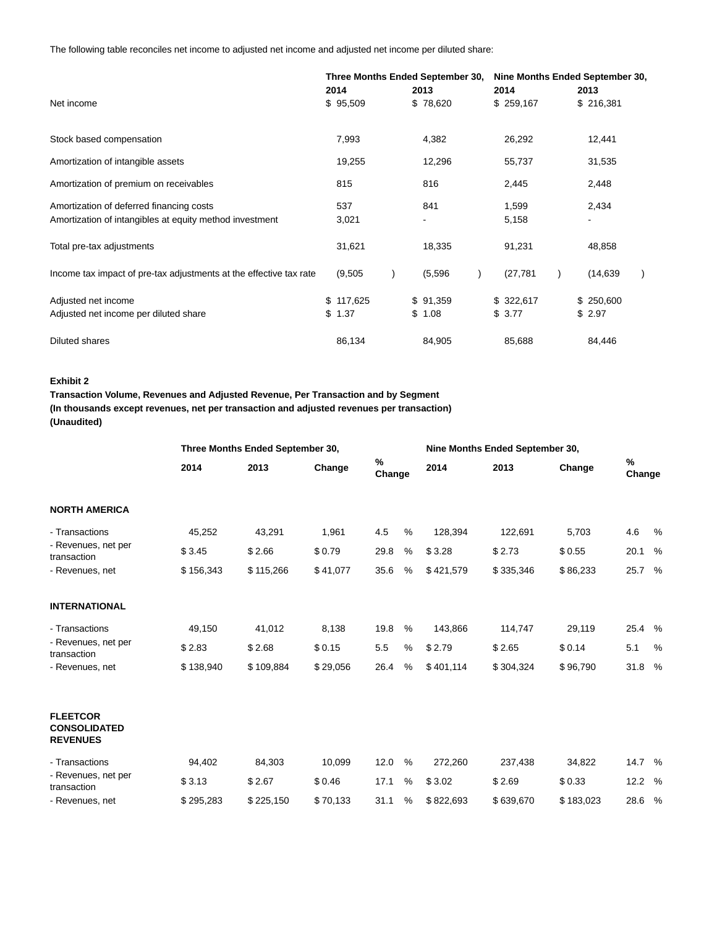The following table reconciles net income to adjusted net income and adjusted net income per diluted share:

|                                                                    |  |           | Three Months Ended September 30, | Nine Months Ended September 30, |  |           |  |  |           |  |
|--------------------------------------------------------------------|--|-----------|----------------------------------|---------------------------------|--|-----------|--|--|-----------|--|
|                                                                    |  | 2014      |                                  | 2013                            |  | 2014      |  |  | 2013      |  |
| Net income                                                         |  | \$95,509  |                                  | \$78,620                        |  | \$259,167 |  |  | \$216,381 |  |
| Stock based compensation                                           |  | 7,993     |                                  | 4,382                           |  | 26,292    |  |  | 12,441    |  |
| Amortization of intangible assets                                  |  | 19,255    |                                  | 12,296                          |  | 55,737    |  |  | 31,535    |  |
| Amortization of premium on receivables                             |  | 815       |                                  | 816                             |  | 2,445     |  |  | 2,448     |  |
| Amortization of deferred financing costs                           |  | 537       |                                  | 841                             |  | 1,599     |  |  | 2,434     |  |
| Amortization of intangibles at equity method investment            |  | 3,021     |                                  |                                 |  | 5,158     |  |  |           |  |
| Total pre-tax adjustments                                          |  | 31,621    |                                  | 18,335                          |  | 91,231    |  |  | 48,858    |  |
| Income tax impact of pre-tax adjustments at the effective tax rate |  | (9,505)   |                                  | (5, 596)                        |  | (27, 781) |  |  | (14, 639) |  |
| Adjusted net income                                                |  | \$117,625 |                                  | \$91,359                        |  | \$322,617 |  |  | \$250,600 |  |
| Adjusted net income per diluted share                              |  | \$1.37    |                                  | \$1.08                          |  | \$3.77    |  |  | \$2.97    |  |
| Diluted shares                                                     |  | 86,134    |                                  | 84,905                          |  | 85,688    |  |  | 84,446    |  |

#### **Exhibit 2**

**Transaction Volume, Revenues and Adjusted Revenue, Per Transaction and by Segment (In thousands except revenues, net per transaction and adjusted revenues per transaction) (Unaudited)**

|                                                           |           | Three Months Ended September 30, |          |             |   |           | Nine Months Ended September 30, |           |             |   |  |  |
|-----------------------------------------------------------|-----------|----------------------------------|----------|-------------|---|-----------|---------------------------------|-----------|-------------|---|--|--|
|                                                           | 2014      | 2013                             | Change   | %<br>Change |   | 2014      | 2013                            | Change    | %<br>Change |   |  |  |
| <b>NORTH AMERICA</b>                                      |           |                                  |          |             |   |           |                                 |           |             |   |  |  |
| - Transactions                                            | 45,252    | 43,291                           | 1,961    | 4.5         | % | 128,394   | 122,691                         | 5,703     | 4.6         | % |  |  |
| - Revenues, net per<br>transaction                        | \$3.45    | \$2.66                           | \$0.79   | 29.8        | % | \$3.28    | \$2.73                          | \$0.55    | 20.1        | % |  |  |
| - Revenues, net                                           | \$156,343 | \$115,266                        | \$41,077 | 35.6        | % | \$421,579 | \$335,346                       | \$86,233  | 25.7 %      |   |  |  |
| <b>INTERNATIONAL</b>                                      |           |                                  |          |             |   |           |                                 |           |             |   |  |  |
| - Transactions                                            | 49,150    | 41,012                           | 8,138    | 19.8        | % | 143,866   | 114,747                         | 29,119    | 25.4 %      |   |  |  |
| - Revenues, net per<br>transaction                        | \$2.83    | \$2.68                           | \$0.15   | 5.5         | % | \$2.79    | \$2.65                          | \$0.14    | 5.1         | % |  |  |
| - Revenues, net                                           | \$138,940 | \$109,884                        | \$29,056 | 26.4        | % | \$401,114 | \$304,324                       | \$96,790  | 31.8 %      |   |  |  |
| <b>FLEETCOR</b><br><b>CONSOLIDATED</b><br><b>REVENUES</b> |           |                                  |          |             |   |           |                                 |           |             |   |  |  |
| - Transactions                                            | 94,402    | 84,303                           | 10,099   | 12.0        | % | 272,260   | 237,438                         | 34,822    | 14.7 %      |   |  |  |
| - Revenues, net per<br>transaction                        | \$3.13    | \$2.67                           | \$0.46   | 17.1        | % | \$3.02    | \$2.69                          | \$0.33    | 12.2 %      |   |  |  |
| - Revenues, net                                           | \$295,283 | \$225,150                        | \$70,133 | 31.1        | % | \$822,693 | \$639,670                       | \$183,023 | 28.6 %      |   |  |  |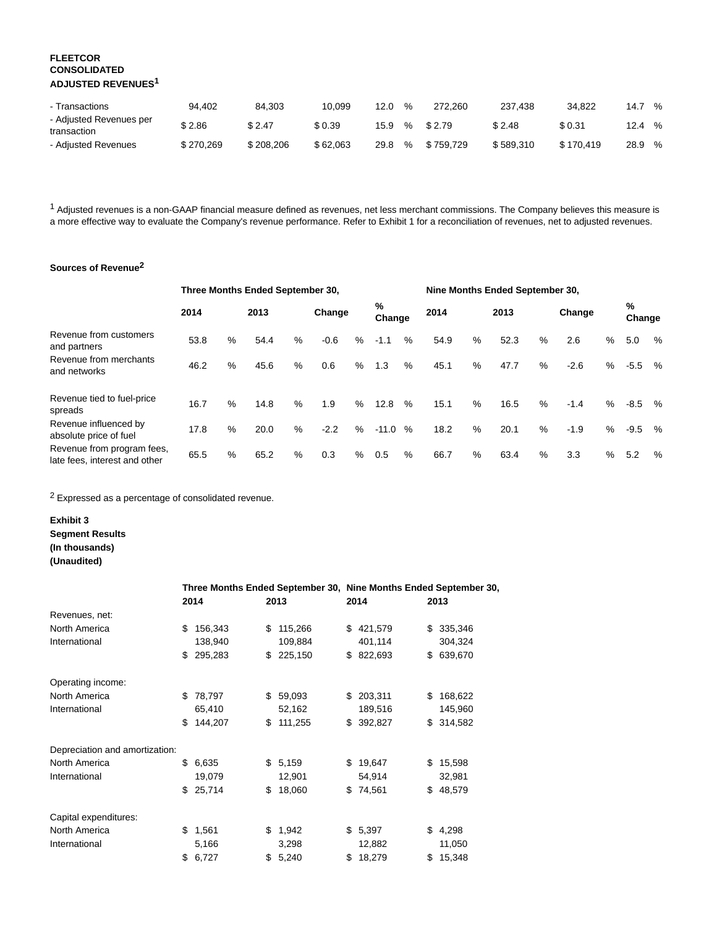### **FLEETCOR CONSOLIDATED ADJUSTED REVENUES1**

| - Transactions                         | 94.402    | 84.303    | 10,099   | 12.0 | %    | 272.260   | 237.438   | 34.822    | 14., | % |
|----------------------------------------|-----------|-----------|----------|------|------|-----------|-----------|-----------|------|---|
| - Adjusted Revenues per<br>transaction | \$2.86    | \$2.47    | \$0.39   | 15.9 | $\%$ | \$2.79    | \$2.48    | \$0.31    | 12.4 | % |
| - Adjusted Revenues                    | \$270.269 | \$208,206 | \$62.063 | 29.8 | %    | \$759.729 | \$589.310 | \$170.419 | 28.9 | % |

<sup>1</sup> Adjusted revenues is a non-GAAP financial measure defined as revenues, net less merchant commissions. The Company believes this measure is a more effective way to evaluate the Company's revenue performance. Refer to Exhibit 1 for a reconciliation of revenues, net to adjusted revenues.

# **Sources of Revenue2**

|                                                             | Three Months Ended September 30, |      |      |      |        |      | Nine Months Ended September 30, |      |      |   |      |      |        |   |             |               |
|-------------------------------------------------------------|----------------------------------|------|------|------|--------|------|---------------------------------|------|------|---|------|------|--------|---|-------------|---------------|
|                                                             | 2014                             |      | 2013 |      | Change |      | %<br>Change                     |      | 2014 |   | 2013 |      | Change |   | %<br>Change |               |
| Revenue from customers<br>and partners                      | 53.8                             | %    | 54.4 | %    | $-0.6$ | $\%$ | $-1.1$                          | $\%$ | 54.9 | % | 52.3 | %    | 2.6    | % | 5.0         | $\%$          |
| Revenue from merchants<br>and networks                      | 46.2                             | $\%$ | 45.6 | $\%$ | 0.6    | $\%$ | 1.3                             | $\%$ | 45.1 | % | 47.7 | $\%$ | $-2.6$ | % | $-5.5$      | $\frac{0}{0}$ |
| Revenue tied to fuel-price<br>spreads                       | 16.7                             | %    | 14.8 | $\%$ | 1.9    | $\%$ | 12.8                            | $\%$ | 15.1 | % | 16.5 | %    | $-1.4$ | % | $-8.5$      | %             |
| Revenue influenced by<br>absolute price of fuel             | 17.8                             | %    | 20.0 | $\%$ | $-2.2$ | $\%$ | $-11.0$                         | $\%$ | 18.2 | % | 20.1 | $\%$ | $-1.9$ | % | $-9.5$      | $\%$          |
| Revenue from program fees,<br>late fees, interest and other | 65.5                             | %    | 65.2 | $\%$ | 0.3    | $\%$ | 0.5                             | $\%$ | 66.7 | % | 63.4 | %    | 3.3    | % | 5.2         | $\frac{0}{0}$ |

2 Expressed as a percentage of consolidated revenue.

**Exhibit 3 Segment Results (In thousands) (Unaudited)**

|                                |     |         |               | Three Months Ended September 30, Nine Months Ended September 30, |            |    |            |  |  |
|--------------------------------|-----|---------|---------------|------------------------------------------------------------------|------------|----|------------|--|--|
|                                |     | 2014    | 2013          |                                                                  | 2014       |    | 2013       |  |  |
| Revenues, net:                 |     |         |               |                                                                  |            |    |            |  |  |
| North America                  | \$. | 156,343 | \$<br>115,266 |                                                                  | \$421,579  |    | \$335,346  |  |  |
| International                  |     | 138,940 | 109,884       |                                                                  | 401,114    |    | 304,324    |  |  |
|                                | \$  | 295,283 | \$<br>225,150 |                                                                  | \$ 822,693 |    | \$ 639,670 |  |  |
| Operating income:              |     |         |               |                                                                  |            |    |            |  |  |
| North America                  | \$. | 78,797  | \$59,093      |                                                                  | \$203,311  | \$ | 168,622    |  |  |
| International                  |     | 65,410  | 52,162        |                                                                  | 189,516    |    | 145,960    |  |  |
|                                | \$  | 144,207 | \$111,255     |                                                                  | \$392,827  |    | \$314,582  |  |  |
| Depreciation and amortization: |     |         |               |                                                                  |            |    |            |  |  |
| North America                  | \$  | 6,635   | \$5,159       |                                                                  | \$19,647   |    | \$15,598   |  |  |
| International                  |     | 19,079  | 12,901        |                                                                  | 54,914     |    | 32,981     |  |  |
|                                | \$  | 25,714  | \$<br>18,060  |                                                                  | \$74,561   |    | \$48,579   |  |  |
| Capital expenditures:          |     |         |               |                                                                  |            |    |            |  |  |
| North America                  | \$  | 1,561   | \$<br>1,942   |                                                                  | \$5,397    |    | \$4,298    |  |  |
| International                  |     | 5,166   | 3,298         |                                                                  | 12,882     |    | 11,050     |  |  |
|                                | \$  | 6,727   | \$<br>5,240   | \$                                                               | 18,279     |    | \$15,348   |  |  |